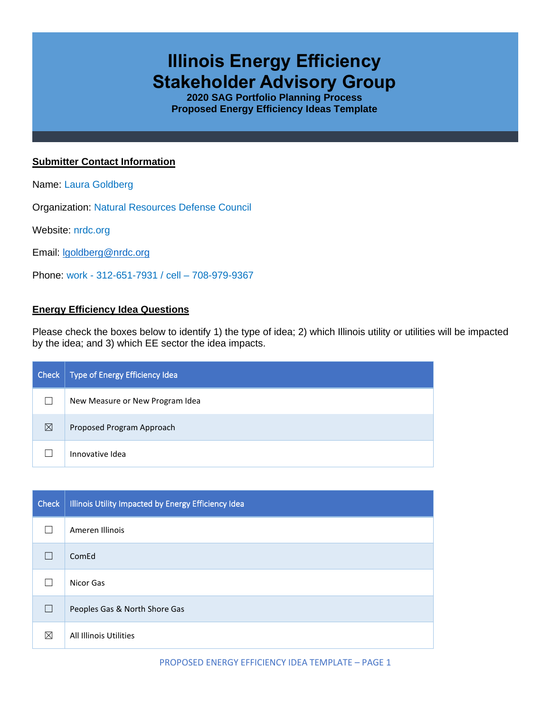# **Illinois Energy Efficiency Stakeholder Advisory Group**

**2020 SAG Portfolio Planning Process Proposed Energy Efficiency Ideas Template**

## **Submitter Contact Information**

Name: Laura Goldberg

Organization: Natural Resources Defense Council

Website: nrdc.org

Email: [lgoldberg@nrdc.org](mailto:lgoldberg@nrdc.org)

Phone: work - 312-651-7931 / cell – 708-979-9367

## **Energy Efficiency Idea Questions**

Please check the boxes below to identify 1) the type of idea; 2) which Illinois utility or utilities will be impacted by the idea; and 3) which EE sector the idea impacts.

| Check       | Type of Energy Efficiency Idea  |
|-------------|---------------------------------|
|             | New Measure or New Program Idea |
| $\boxtimes$ | Proposed Program Approach       |
|             | Innovative Idea                 |

| <b>Check</b> | Illinois Utility Impacted by Energy Efficiency Idea |
|--------------|-----------------------------------------------------|
|              | Ameren Illinois                                     |
|              | ComEd                                               |
|              | Nicor Gas                                           |
|              | Peoples Gas & North Shore Gas                       |
| ⊠            | All Illinois Utilities                              |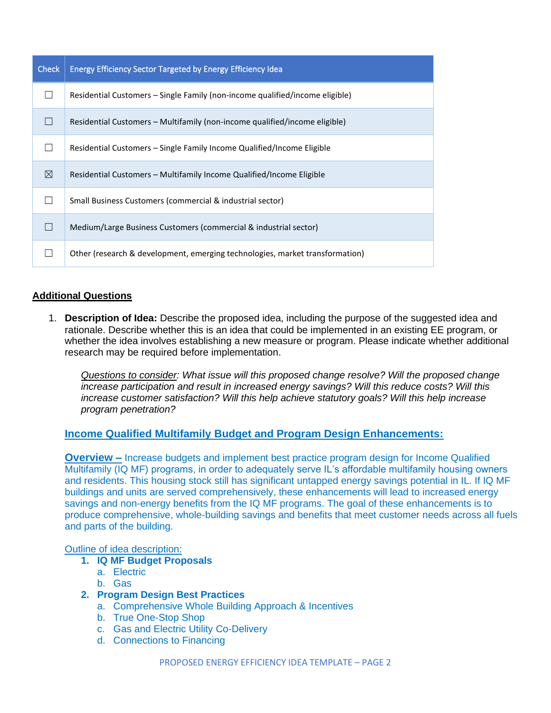| <b>Check</b> | Energy Efficiency Sector Targeted by Energy Efficiency Idea                  |
|--------------|------------------------------------------------------------------------------|
|              | Residential Customers – Single Family (non-income qualified/income eligible) |
|              | Residential Customers – Multifamily (non-income qualified/income eligible)   |
|              | Residential Customers – Single Family Income Qualified/Income Eligible       |
| ⊠            | Residential Customers – Multifamily Income Qualified/Income Eligible         |
|              | Small Business Customers (commercial & industrial sector)                    |
|              | Medium/Large Business Customers (commercial & industrial sector)             |
|              | Other (research & development, emerging technologies, market transformation) |

## **Additional Questions**

1. **Description of Idea:** Describe the proposed idea, including the purpose of the suggested idea and rationale. Describe whether this is an idea that could be implemented in an existing EE program, or whether the idea involves establishing a new measure or program. Please indicate whether additional research may be required before implementation.

*Questions to consider: What issue will this proposed change resolve? Will the proposed change increase participation and result in increased energy savings? Will this reduce costs? Will this*  increase customer satisfaction? Will this help achieve statutory goals? Will this help increase *program penetration?* 

# **Income Qualified Multifamily Budget and Program Design Enhancements:**

**Overview –** Increase budgets and implement best practice program design for Income Qualified Multifamily (IQ MF) programs, in order to adequately serve IL's affordable multifamily housing owners and residents. This housing stock still has significant untapped energy savings potential in IL. If IQ MF buildings and units are served comprehensively, these enhancements will lead to increased energy savings and non-energy benefits from the IQ MF programs. The goal of these enhancements is to produce comprehensive, whole-building savings and benefits that meet customer needs across all fuels and parts of the building.

#### Outline of idea description:

- **1. IQ MF Budget Proposals** 
	- a. Electric
	- b. Gas

## **2. Program Design Best Practices**

- a. Comprehensive Whole Building Approach & Incentives
- b. True One-Stop Shop
- c. Gas and Electric Utility Co-Delivery
- d. Connections to Financing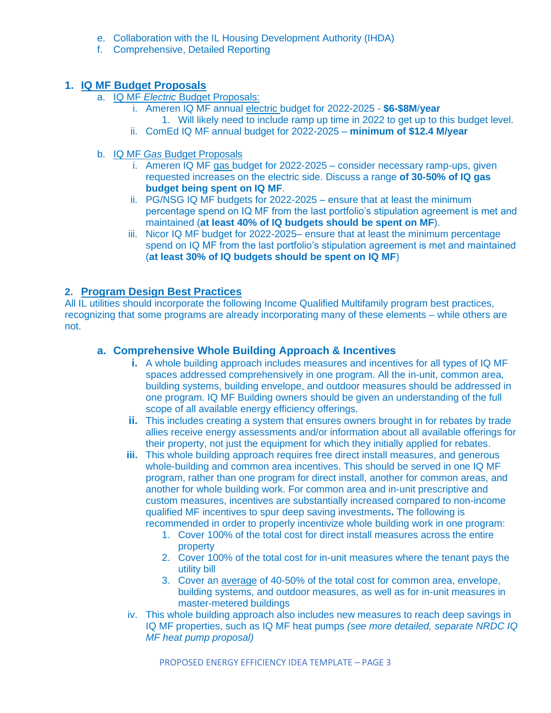- e. Collaboration with the IL Housing Development Authority (IHDA)
- f. Comprehensive, Detailed Reporting

# **1. IQ MF Budget Proposals**

- a. IQ MF *Electric* Budget Proposals:
	- i. Ameren IQ MF annual electric budget for 2022-2025 **\$6-\$8M**/**year** 
		- 1. Will likely need to include ramp up time in 2022 to get up to this budget level.
	- ii. ComEd IQ MF annual budget for 2022-2025 **minimum of \$12.4 M/year**
- b. IQ MF *Gas* Budget Proposals
	- i. Ameren IQ MF gas budget for 2022-2025 consider necessary ramp-ups, given requested increases on the electric side. Discuss a range **of 30-50% of IQ gas budget being spent on IQ MF**.
	- ii. PG/NSG IQ MF budgets for 2022-2025 ensure that at least the minimum percentage spend on IQ MF from the last portfolio's stipulation agreement is met and maintained (**at least 40% of IQ budgets should be spent on MF**).
	- iii. Nicor IQ MF budget for 2022-2025– ensure that at least the minimum percentage spend on IQ MF from the last portfolio's stipulation agreement is met and maintained (**at least 30% of IQ budgets should be spent on IQ MF**)

# **2. Program Design Best Practices**

All IL utilities should incorporate the following Income Qualified Multifamily program best practices, recognizing that some programs are already incorporating many of these elements – while others are not.

# **a. Comprehensive Whole Building Approach & Incentives**

- **i.** A whole building approach includes measures and incentives for all types of IQ MF spaces addressed comprehensively in one program. All the in-unit, common area, building systems, building envelope, and outdoor measures should be addressed in one program. IQ MF Building owners should be given an understanding of the full scope of all available energy efficiency offerings.
- **ii.** This includes creating a system that ensures owners brought in for rebates by trade allies receive energy assessments and/or information about all available offerings for their property, not just the equipment for which they initially applied for rebates.
- **iii.** This whole building approach requires free direct install measures, and generous whole-building and common area incentives. This should be served in one IQ MF program, rather than one program for direct install, another for common areas, and another for whole building work. For common area and in-unit prescriptive and custom measures, incentives are substantially increased compared to non-income qualified MF incentives to spur deep saving investments**.** The following is recommended in order to properly incentivize whole building work in one program:
	- 1. Cover 100% of the total cost for direct install measures across the entire property
	- 2. Cover 100% of the total cost for in-unit measures where the tenant pays the utility bill
	- 3. Cover an average of 40-50% of the total cost for common area, envelope, building systems, and outdoor measures, as well as for in-unit measures in master-metered buildings
- iv. This whole building approach also includes new measures to reach deep savings in IQ MF properties, such as IQ MF heat pumps *(see more detailed, separate NRDC IQ MF heat pump proposal)*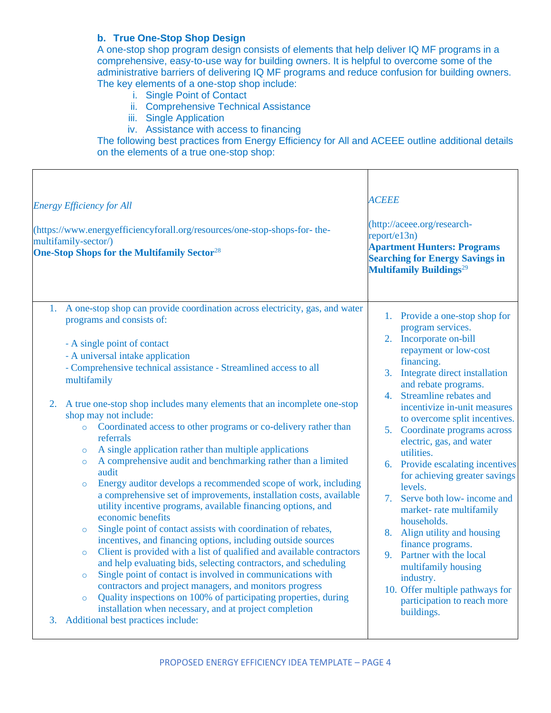## **b. True One-Stop Shop Design**

A one-stop shop program design consists of elements that help deliver IQ MF programs in a comprehensive, easy-to-use way for building owners. It is helpful to overcome some of the administrative barriers of delivering IQ MF programs and reduce confusion for building owners. The key elements of a one-stop shop include:

- i. Single Point of Contact
- ii. Comprehensive Technical Assistance
- iii. Single Application
- iv. Assistance with access to financing

The following best practices from Energy Efficiency for All and ACEEE outline additional details on the elements of a true one-stop shop:

| <b>Energy Efficiency for All</b><br>(https://www.energyefficiencyforall.org/resources/one-stop-shops-for-the-<br>multifamily-sector/)<br><b>One-Stop Shops for the Multifamily Sector</b> <sup>28</sup>                                                                                                                                                                                                                                                                                                                                                                                                                                                                                                                                                                                                                                                                                                                                                                                                                                                                                                                                                                                                                                                                                                                                                                                                                                                                                            | <b>ACEEE</b><br>(http://aceee.org/research-<br>report/e13n)<br><b>Apartment Hunters: Programs</b><br><b>Searching for Energy Savings in</b><br><b>Multifamily Buildings</b> <sup>29</sup>                                                                                                                                                                                                                                                                                                                                                                                                                                                                                                                                  |
|----------------------------------------------------------------------------------------------------------------------------------------------------------------------------------------------------------------------------------------------------------------------------------------------------------------------------------------------------------------------------------------------------------------------------------------------------------------------------------------------------------------------------------------------------------------------------------------------------------------------------------------------------------------------------------------------------------------------------------------------------------------------------------------------------------------------------------------------------------------------------------------------------------------------------------------------------------------------------------------------------------------------------------------------------------------------------------------------------------------------------------------------------------------------------------------------------------------------------------------------------------------------------------------------------------------------------------------------------------------------------------------------------------------------------------------------------------------------------------------------------|----------------------------------------------------------------------------------------------------------------------------------------------------------------------------------------------------------------------------------------------------------------------------------------------------------------------------------------------------------------------------------------------------------------------------------------------------------------------------------------------------------------------------------------------------------------------------------------------------------------------------------------------------------------------------------------------------------------------------|
| 1. A one-stop shop can provide coordination across electricity, gas, and water<br>programs and consists of:<br>- A single point of contact<br>- A universal intake application<br>- Comprehensive technical assistance - Streamlined access to all<br>multifamily<br>A true one-stop shop includes many elements that an incomplete one-stop<br>2.<br>shop may not include:<br>Coordinated access to other programs or co-delivery rather than<br>$\circ$<br>referrals<br>A single application rather than multiple applications<br>$\circ$<br>A comprehensive audit and benchmarking rather than a limited<br>$\circ$<br>audit<br>Energy auditor develops a recommended scope of work, including<br>$\circ$<br>a comprehensive set of improvements, installation costs, available<br>utility incentive programs, available financing options, and<br>economic benefits<br>Single point of contact assists with coordination of rebates,<br>$\circ$<br>incentives, and financing options, including outside sources<br>Client is provided with a list of qualified and available contractors<br>$\circ$<br>and help evaluating bids, selecting contractors, and scheduling<br>Single point of contact is involved in communications with<br>$\circ$<br>contractors and project managers, and monitors progress<br>Quality inspections on 100% of participating properties, during<br>$\circ$<br>installation when necessary, and at project completion<br>Additional best practices include:<br>3. | 1. Provide a one-stop shop for<br>program services.<br>2. Incorporate on-bill<br>repayment or low-cost<br>financing.<br>3. Integrate direct installation<br>and rebate programs.<br>4. Streamline rebates and<br>incentivize in-unit measures<br>to overcome split incentives.<br>5. Coordinate programs across<br>electric, gas, and water<br>utilities.<br>6. Provide escalating incentives<br>for achieving greater savings<br>levels.<br>7. Serve both low- income and<br>market-rate multifamily<br>households.<br>8. Align utility and housing<br>finance programs.<br>9. Partner with the local<br>multifamily housing<br>industry.<br>10. Offer multiple pathways for<br>participation to reach more<br>buildings. |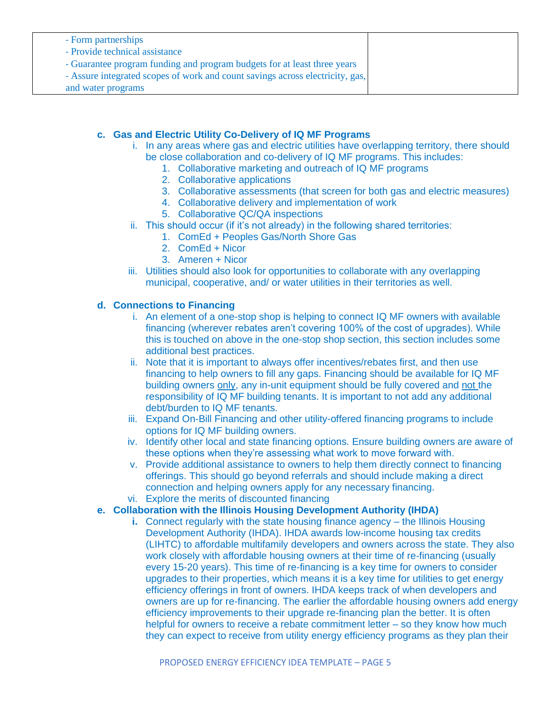| - Form partnerships                                                           |  |
|-------------------------------------------------------------------------------|--|
| - Provide technical assistance                                                |  |
| - Guarantee program funding and program budgets for at least three years      |  |
| - Assure integrated scopes of work and count savings across electricity, gas, |  |
| and water programs                                                            |  |

## **c. Gas and Electric Utility Co-Delivery of IQ MF Programs**

- i. In any areas where gas and electric utilities have overlapping territory, there should be close collaboration and co-delivery of IQ MF programs. This includes:
	- 1. Collaborative marketing and outreach of IQ MF programs
	- 2. Collaborative applications
	- 3. Collaborative assessments (that screen for both gas and electric measures)
	- 4. Collaborative delivery and implementation of work
	- 5. Collaborative QC/QA inspections
- ii. This should occur (if it's not already) in the following shared territories:
	- 1. ComEd + Peoples Gas/North Shore Gas
	- 2. ComEd + Nicor
	- 3. Ameren + Nicor
- iii. Utilities should also look for opportunities to collaborate with any overlapping municipal, cooperative, and/ or water utilities in their territories as well.

#### **d. Connections to Financing**

- i. An element of a one-stop shop is helping to connect IQ MF owners with available financing (wherever rebates aren't covering 100% of the cost of upgrades). While this is touched on above in the one-stop shop section, this section includes some additional best practices.
- ii. Note that it is important to always offer incentives/rebates first, and then use financing to help owners to fill any gaps. Financing should be available for IQ MF building owners only, any in-unit equipment should be fully covered and not the responsibility of IQ MF building tenants. It is important to not add any additional debt/burden to IQ MF tenants.
- iii. Expand On-Bill Financing and other utility-offered financing programs to include options for IQ MF building owners.
- iv. Identify other local and state financing options. Ensure building owners are aware of these options when they're assessing what work to move forward with.
- v. Provide additional assistance to owners to help them directly connect to financing offerings. This should go beyond referrals and should include making a direct connection and helping owners apply for any necessary financing.
- vi. Explore the merits of discounted financing
- **e. Collaboration with the Illinois Housing Development Authority (IHDA)**
	- **i.** Connect regularly with the state housing finance agency the Illinois Housing Development Authority (IHDA). IHDA awards low-income housing tax credits (LIHTC) to affordable multifamily developers and owners across the state. They also work closely with affordable housing owners at their time of re-financing (usually every 15-20 years). This time of re-financing is a key time for owners to consider upgrades to their properties, which means it is a key time for utilities to get energy efficiency offerings in front of owners. IHDA keeps track of when developers and owners are up for re-financing. The earlier the affordable housing owners add energy efficiency improvements to their upgrade re-financing plan the better. It is often helpful for owners to receive a rebate commitment letter – so they know how much they can expect to receive from utility energy efficiency programs as they plan their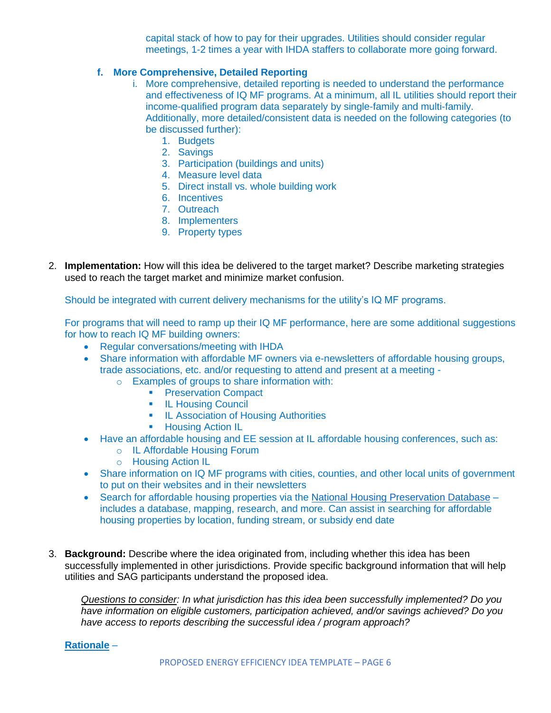capital stack of how to pay for their upgrades. Utilities should consider regular meetings, 1-2 times a year with IHDA staffers to collaborate more going forward.

## **f. More Comprehensive, Detailed Reporting**

- i. More comprehensive, detailed reporting is needed to understand the performance and effectiveness of IQ MF programs. At a minimum, all IL utilities should report their income-qualified program data separately by single-family and multi-family. Additionally, more detailed/consistent data is needed on the following categories (to be discussed further):
	- 1. Budgets
	- 2. Savings
	- 3. Participation (buildings and units)
	- 4. Measure level data
	- 5. Direct install vs. whole building work
	- 6. Incentives
	- 7. Outreach
	- 8. Implementers
	- 9. Property types
- 2. **Implementation:** How will this idea be delivered to the target market? Describe marketing strategies used to reach the target market and minimize market confusion.

Should be integrated with current delivery mechanisms for the utility's IQ MF programs.

For programs that will need to ramp up their IQ MF performance, here are some additional suggestions for how to reach IQ MF building owners:

- Regular conversations/meeting with IHDA
- Share information with affordable MF owners via e-newsletters of affordable housing groups, trade associations, etc. and/or requesting to attend and present at a meeting
	- o Examples of groups to share information with:
		- **Preservation Compact**
		- IL Housing Council
		- **IL Association of Housing Authorities**
		- Housing Action IL
- Have an affordable housing and EE session at IL affordable housing conferences, such as:
	- o IL Affordable Housing Forum
	- o Housing Action IL
- Share information on IQ MF programs with cities, counties, and other local units of government to put on their websites and in their newsletters
- Search for affordable housing properties via the [National Housing Preservation Database](https://preservationdatabase.org/) includes a database, mapping, research, and more. Can assist in searching for affordable housing properties by location, funding stream, or subsidy end date
- 3. **Background:** Describe where the idea originated from, including whether this idea has been successfully implemented in other jurisdictions. Provide specific background information that will help utilities and SAG participants understand the proposed idea.

*Questions to consider: In what jurisdiction has this idea been successfully implemented? Do you have information on eligible customers, participation achieved, and/or savings achieved? Do you have access to reports describing the successful idea / program approach?* 

**Rationale** –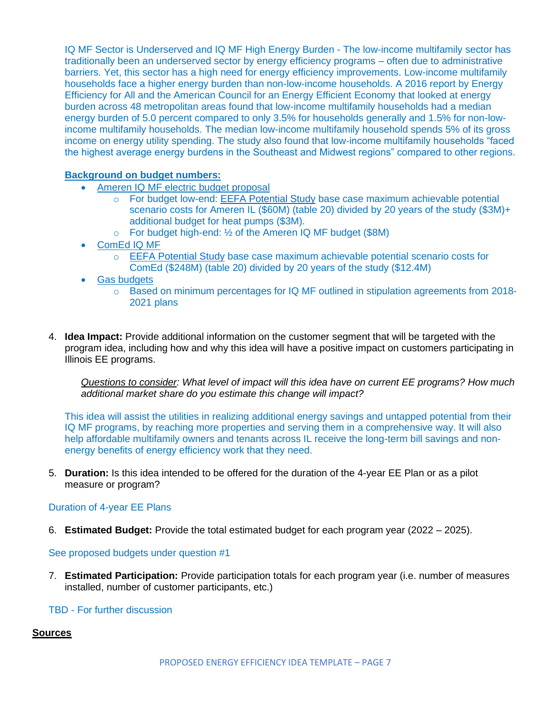IQ MF Sector is Underserved and IQ MF High Energy Burden - The low-income multifamily sector has traditionally been an underserved sector by energy efficiency programs – often due to administrative barriers. Yet, this sector has a high need for energy efficiency improvements. Low-income multifamily households face a higher energy burden than non-low-income households. A 2016 report by Energy Efficiency for All and the American Council for an Energy Efficient Economy that looked at energy burden across 48 metropolitan areas found that low-income multifamily households had a median energy burden of 5.0 percent compared to only 3.5% for households generally and 1.5% for non-lowincome multifamily households. The median low-income multifamily household spends 5% of its gross income on energy utility spending. The study also found that low-income multifamily households "faced the highest average energy burdens in the Southeast and Midwest regions" compared to other regions.

## **Background on budget numbers:**

- Ameren IQ MF electric budget proposal
	- o For budget low-end: [EEFA Potential Study](https://assets.ctfassets.net/ntcn17ss1ow9/43sFlEPlqHiP7pTAdcVvVX/25565f05fb3c3fba069e1f2a2244f27e/EEFA_Potential_Study.pdf) base case maximum achievable potential scenario costs for Ameren IL (\$60M) (table 20) divided by 20 years of the study (\$3M)+ additional budget for heat pumps (\$3M).
	- $\circ$  For budget high-end:  $\frac{1}{2}$  of the Ameren IQ MF budget (\$8M)
- ComEd IQ MF
	- o [EEFA Potential Study](https://assets.ctfassets.net/ntcn17ss1ow9/43sFlEPlqHiP7pTAdcVvVX/25565f05fb3c3fba069e1f2a2244f27e/EEFA_Potential_Study.pdf) base case maximum achievable potential scenario costs for ComEd (\$248M) (table 20) divided by 20 years of the study (\$12.4M)
- **Gas budgets** 
	- o Based on minimum percentages for IQ MF outlined in stipulation agreements from 2018- 2021 plans
- 4. **Idea Impact:** Provide additional information on the customer segment that will be targeted with the program idea, including how and why this idea will have a positive impact on customers participating in Illinois EE programs.

*Questions to consider: What level of impact will this idea have on current EE programs? How much additional market share do you estimate this change will impact?*

This idea will assist the utilities in realizing additional energy savings and untapped potential from their IQ MF programs, by reaching more properties and serving them in a comprehensive way. It will also help affordable multifamily owners and tenants across IL receive the long-term bill savings and nonenergy benefits of energy efficiency work that they need.

5. **Duration:** Is this idea intended to be offered for the duration of the 4-year EE Plan or as a pilot measure or program?

#### Duration of 4-year EE Plans

6. **Estimated Budget:** Provide the total estimated budget for each program year (2022 – 2025).

See proposed budgets under question #1

7. **Estimated Participation:** Provide participation totals for each program year (i.e. number of measures installed, number of customer participants, etc.)

## TBD - For further discussion

#### **Sources**